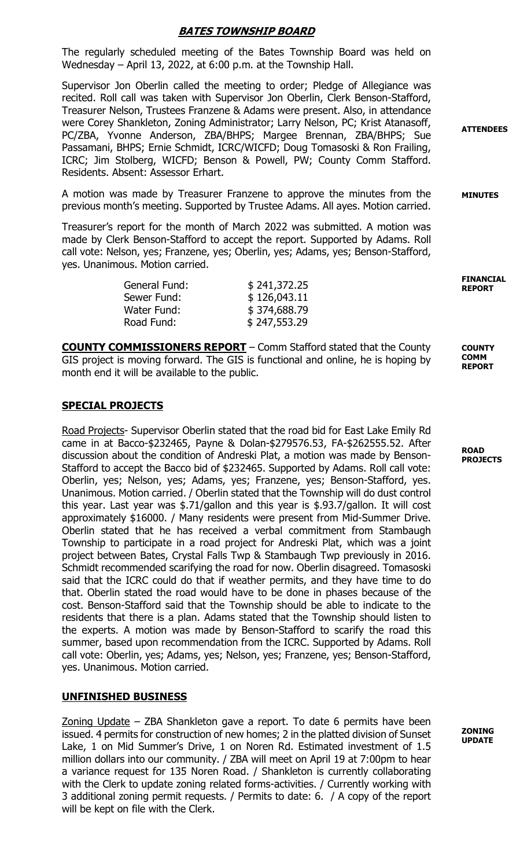# BATES TOWNSHIP BOARD

The regularly scheduled meeting of the Bates Township Board was held on Wednesday – April 13, 2022, at 6:00 p.m. at the Township Hall.

Supervisor Jon Oberlin called the meeting to order; Pledge of Allegiance was recited. Roll call was taken with Supervisor Jon Oberlin, Clerk Benson-Stafford, Treasurer Nelson, Trustees Franzene & Adams were present. Also, in attendance were Corey Shankleton, Zoning Administrator; Larry Nelson, PC; Krist Atanasoff, PC/ZBA, Yvonne Anderson, ZBA/BHPS; Margee Brennan, ZBA/BHPS; Sue Passamani, BHPS; Ernie Schmidt, ICRC/WICFD; Doug Tomasoski & Ron Frailing, ICRC; Jim Stolberg, WICFD; Benson & Powell, PW; County Comm Stafford. Residents. Absent: Assessor Erhart.

A motion was made by Treasurer Franzene to approve the minutes from the previous month's meeting. Supported by Trustee Adams. All ayes. Motion carried.

Treasurer's report for the month of March 2022 was submitted. A motion was made by Clerk Benson-Stafford to accept the report. Supported by Adams. Roll call vote: Nelson, yes; Franzene, yes; Oberlin, yes; Adams, yes; Benson-Stafford, yes. Unanimous. Motion carried.

| General Fund: | \$241,372.25 | <b>FINANCIAL</b><br><b>REPORT</b> |
|---------------|--------------|-----------------------------------|
| Sewer Fund:   | \$126,043.11 |                                   |
| Water Fund:   | \$374,688.79 |                                   |
| Road Fund:    | \$247,553.29 |                                   |

COUNTY COMMISSIONERS REPORT – Comm Stafford stated that the County GIS project is moving forward. The GIS is functional and online, he is hoping by month end it will be available to the public.

# SPECIAL PROJECTS

Road Projects- Supervisor Oberlin stated that the road bid for East Lake Emily Rd came in at Bacco-\$232465, Payne & Dolan-\$279576.53, FA-\$262555.52. After discussion about the condition of Andreski Plat, a motion was made by Benson-Stafford to accept the Bacco bid of \$232465. Supported by Adams. Roll call vote: Oberlin, yes; Nelson, yes; Adams, yes; Franzene, yes; Benson-Stafford, yes. Unanimous. Motion carried. / Oberlin stated that the Township will do dust control this year. Last year was \$.71/gallon and this year is \$.93.7/gallon. It will cost approximately \$16000. / Many residents were present from Mid-Summer Drive. Oberlin stated that he has received a verbal commitment from Stambaugh Township to participate in a road project for Andreski Plat, which was a joint project between Bates, Crystal Falls Twp & Stambaugh Twp previously in 2016. Schmidt recommended scarifying the road for now. Oberlin disagreed. Tomasoski said that the ICRC could do that if weather permits, and they have time to do that. Oberlin stated the road would have to be done in phases because of the cost. Benson-Stafford said that the Township should be able to indicate to the residents that there is a plan. Adams stated that the Township should listen to the experts. A motion was made by Benson-Stafford to scarify the road this summer, based upon recommendation from the ICRC. Supported by Adams. Roll call vote: Oberlin, yes; Adams, yes; Nelson, yes; Franzene, yes; Benson-Stafford, yes. Unanimous. Motion carried.

#### UNFINISHED BUSINESS

Zoning Update - ZBA Shankleton gave a report. To date 6 permits have been issued. 4 permits for construction of new homes; 2 in the platted division of Sunset Lake, 1 on Mid Summer's Drive, 1 on Noren Rd. Estimated investment of 1.5 million dollars into our community. / ZBA will meet on April 19 at 7:00pm to hear a variance request for 135 Noren Road. / Shankleton is currently collaborating with the Clerk to update zoning related forms-activities. / Currently working with 3 additional zoning permit requests. / Permits to date: 6. / A copy of the report will be kept on file with the Clerk.

**PROJECTS** 

ROAD

**COUNTY** COMM REPORT

ZONING UPDATE

**ATTENDEES** 

MINUTES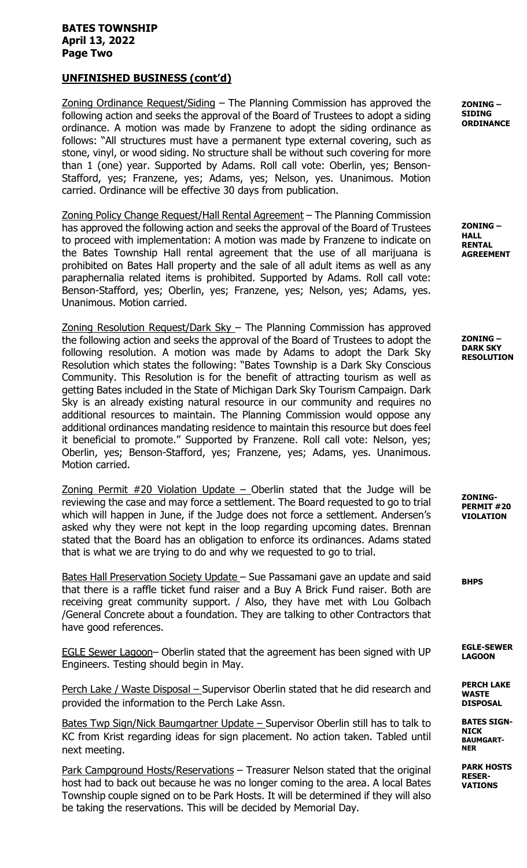#### BATES TOWNSHIP April 13, 2022 Page Two

# UNFINISHED BUSINESS (cont'd)

Zoning Ordinance Request/Siding – The Planning Commission has approved the following action and seeks the approval of the Board of Trustees to adopt a siding ordinance. A motion was made by Franzene to adopt the siding ordinance as follows: "All structures must have a permanent type external covering, such as stone, vinyl, or wood siding. No structure shall be without such covering for more than 1 (one) year. Supported by Adams. Roll call vote: Oberlin, yes; Benson-Stafford, yes; Franzene, yes; Adams, yes; Nelson, yes. Unanimous. Motion carried. Ordinance will be effective 30 days from publication.

Zoning Policy Change Request/Hall Rental Agreement – The Planning Commission has approved the following action and seeks the approval of the Board of Trustees to proceed with implementation: A motion was made by Franzene to indicate on the Bates Township Hall rental agreement that the use of all marijuana is prohibited on Bates Hall property and the sale of all adult items as well as any paraphernalia related items is prohibited. Supported by Adams. Roll call vote: Benson-Stafford, yes; Oberlin, yes; Franzene, yes; Nelson, yes; Adams, yes. Unanimous. Motion carried.

Zoning Resolution Request/Dark Sky – The Planning Commission has approved the following action and seeks the approval of the Board of Trustees to adopt the following resolution. A motion was made by Adams to adopt the Dark Sky Resolution which states the following: "Bates Township is a Dark Sky Conscious Community. This Resolution is for the benefit of attracting tourism as well as getting Bates included in the State of Michigan Dark Sky Tourism Campaign. Dark Sky is an already existing natural resource in our community and requires no additional resources to maintain. The Planning Commission would oppose any additional ordinances mandating residence to maintain this resource but does feel it beneficial to promote." Supported by Franzene. Roll call vote: Nelson, yes; Oberlin, yes; Benson-Stafford, yes; Franzene, yes; Adams, yes. Unanimous. Motion carried.

Zoning Permit  $#20$  Violation Update – Oberlin stated that the Judge will be reviewing the case and may force a settlement. The Board requested to go to trial which will happen in June, if the Judge does not force a settlement. Andersen's asked why they were not kept in the loop regarding upcoming dates. Brennan stated that the Board has an obligation to enforce its ordinances. Adams stated that is what we are trying to do and why we requested to go to trial.

Bates Hall Preservation Society Update – Sue Passamani gave an update and said that there is a raffle ticket fund raiser and a Buy A Brick Fund raiser. Both are receiving great community support. / Also, they have met with Lou Golbach /General Concrete about a foundation. They are talking to other Contractors that have good references.

EGLE Sewer Lagoon– Oberlin stated that the agreement has been signed with UP Engineers. Testing should begin in May.

Perch Lake / Waste Disposal – Supervisor Oberlin stated that he did research and provided the information to the Perch Lake Assn.

Bates Twp Sign/Nick Baumgartner Update – Supervisor Oberlin still has to talk to KC from Krist regarding ideas for sign placement. No action taken. Tabled until next meeting.

Park Campground Hosts/Reservations – Treasurer Nelson stated that the original host had to back out because he was no longer coming to the area. A local Bates Township couple signed on to be Park Hosts. It will be determined if they will also be taking the reservations. This will be decided by Memorial Day.

ZONING – SIDING **ORDINANCE** 

ZONING – HALL RENTAL AGREEMENT

ZONING – DARK SKY RESOLUTION

ZONING-PERMIT #20 VIOLATION

BHPS

EGLE-SEWER LAGOON

PERCH LAKE WASTE DISPOSAL

BATES SIGN-NICK BAUMGART-NER

> PARK HOSTS RESER-VATIONS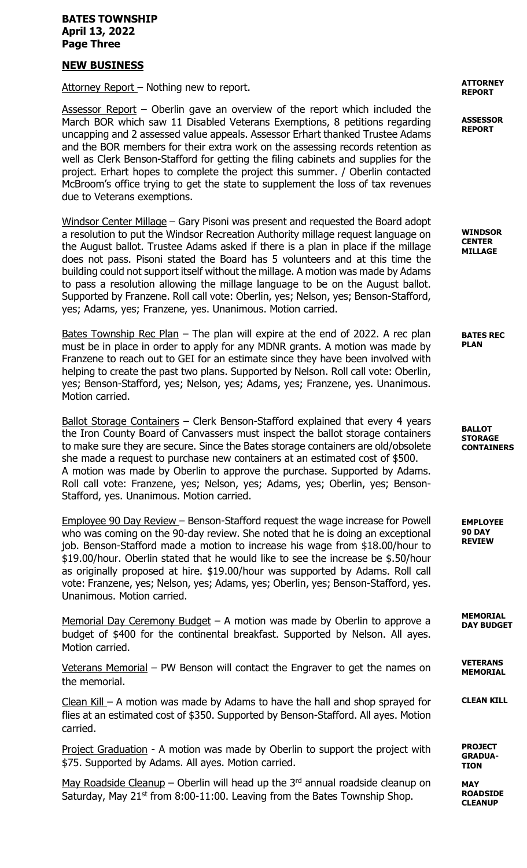#### BATES TOWNSHIP April 13, 2022 Page Three

## NEW BUSINESS

Attorney Report - Nothing new to report.

Assessor Report – Oberlin gave an overview of the report which included the March BOR which saw 11 Disabled Veterans Exemptions, 8 petitions regarding uncapping and 2 assessed value appeals. Assessor Erhart thanked Trustee Adams and the BOR members for their extra work on the assessing records retention as well as Clerk Benson-Stafford for getting the filing cabinets and supplies for the project. Erhart hopes to complete the project this summer. / Oberlin contacted McBroom's office trying to get the state to supplement the loss of tax revenues due to Veterans exemptions.

Windsor Center Millage – Gary Pisoni was present and requested the Board adopt a resolution to put the Windsor Recreation Authority millage request language on the August ballot. Trustee Adams asked if there is a plan in place if the millage does not pass. Pisoni stated the Board has 5 volunteers and at this time the building could not support itself without the millage. A motion was made by Adams to pass a resolution allowing the millage language to be on the August ballot. Supported by Franzene. Roll call vote: Oberlin, yes; Nelson, yes; Benson-Stafford, yes; Adams, yes; Franzene, yes. Unanimous. Motion carried.

Bates Township Rec Plan – The plan will expire at the end of 2022. A rec plan must be in place in order to apply for any MDNR grants. A motion was made by Franzene to reach out to GEI for an estimate since they have been involved with helping to create the past two plans. Supported by Nelson. Roll call vote: Oberlin, yes; Benson-Stafford, yes; Nelson, yes; Adams, yes; Franzene, yes. Unanimous. Motion carried.

Ballot Storage Containers - Clerk Benson-Stafford explained that every 4 years the Iron County Board of Canvassers must inspect the ballot storage containers to make sure they are secure. Since the Bates storage containers are old/obsolete she made a request to purchase new containers at an estimated cost of \$500. A motion was made by Oberlin to approve the purchase. Supported by Adams. Roll call vote: Franzene, yes; Nelson, yes; Adams, yes; Oberlin, yes; Benson-Stafford, yes. Unanimous. Motion carried.

Employee 90 Day Review – Benson-Stafford request the wage increase for Powell who was coming on the 90-day review. She noted that he is doing an exceptional job. Benson-Stafford made a motion to increase his wage from \$18.00/hour to \$19.00/hour. Oberlin stated that he would like to see the increase be \$.50/hour as originally proposed at hire. \$19.00/hour was supported by Adams. Roll call vote: Franzene, yes; Nelson, yes; Adams, yes; Oberlin, yes; Benson-Stafford, yes. Unanimous. Motion carried.

Memorial Day Ceremony Budget – A motion was made by Oberlin to approve a budget of \$400 for the continental breakfast. Supported by Nelson. All ayes. Motion carried.

Veterans Memorial – PW Benson will contact the Engraver to get the names on the memorial.

Clean Kill – A motion was made by Adams to have the hall and shop sprayed for flies at an estimated cost of \$350. Supported by Benson-Stafford. All ayes. Motion carried.

Project Graduation - A motion was made by Oberlin to support the project with \$75. Supported by Adams. All ayes. Motion carried.

May Roadside Cleanup - Oberlin will head up the  $3<sup>rd</sup>$  annual roadside cleanup on Saturday, May  $21^{st}$  from 8:00-11:00. Leaving from the Bates Township Shop.

ATTORNEY REPORT

ASSESSOR REPORT

WINDSOR CENTER MILLAGE

BATES REC PLAN

BALLOT **STORAGE** CONTAINERS

EMPLOYEE 90 DAY REVIEW

MEMORIAL DAY BUDGET

VETERANS MEMORIAL

CLEAN KILL

PROJECT GRADUA-**TION** 

**MAY** ROADSIDE **CLEANUP**